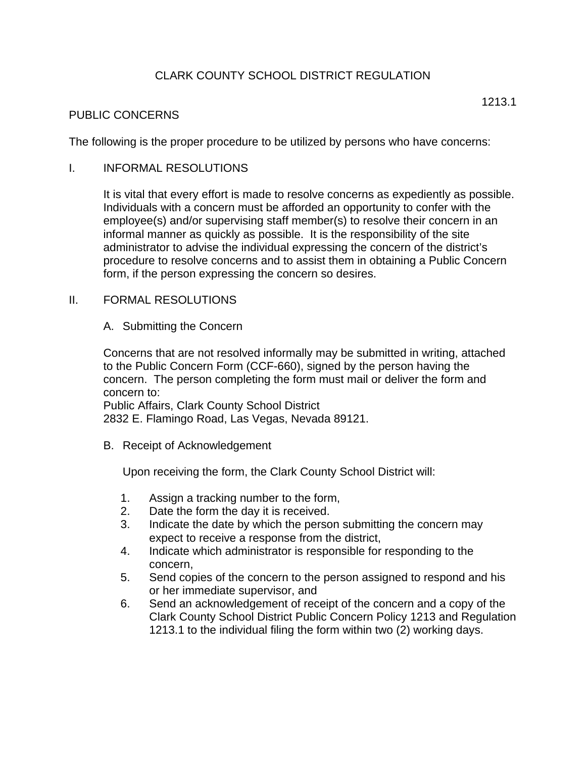# CLARK COUNTY SCHOOL DISTRICT REGULATION

## PUBLIC CONCERNS

The following is the proper procedure to be utilized by persons who have concerns:

## I. INFORMAL RESOLUTIONS

It is vital that every effort is made to resolve concerns as expediently as possible. Individuals with a concern must be afforded an opportunity to confer with the employee(s) and/or supervising staff member(s) to resolve their concern in an informal manner as quickly as possible. It is the responsibility of the site administrator to advise the individual expressing the concern of the district's procedure to resolve concerns and to assist them in obtaining a Public Concern form, if the person expressing the concern so desires.

## II. FORMAL RESOLUTIONS

A. Submitting the Concern

Concerns that are not resolved informally may be submitted in writing, attached to the Public Concern Form (CCF-660), signed by the person having the concern. The person completing the form must mail or deliver the form and concern to:

Public Affairs, Clark County School District 2832 E. Flamingo Road, Las Vegas, Nevada 89121.

B. Receipt of Acknowledgement

Upon receiving the form, the Clark County School District will:

- 1. Assign a tracking number to the form,
- 2. Date the form the day it is received.
- 3. Indicate the date by which the person submitting the concern may expect to receive a response from the district,
- 4. Indicate which administrator is responsible for responding to the concern,
- 5. Send copies of the concern to the person assigned to respond and his or her immediate supervisor, and
- 6. Send an acknowledgement of receipt of the concern and a copy of the Clark County School District Public Concern Policy 1213 and Regulation 1213.1 to the individual filing the form within two (2) working days.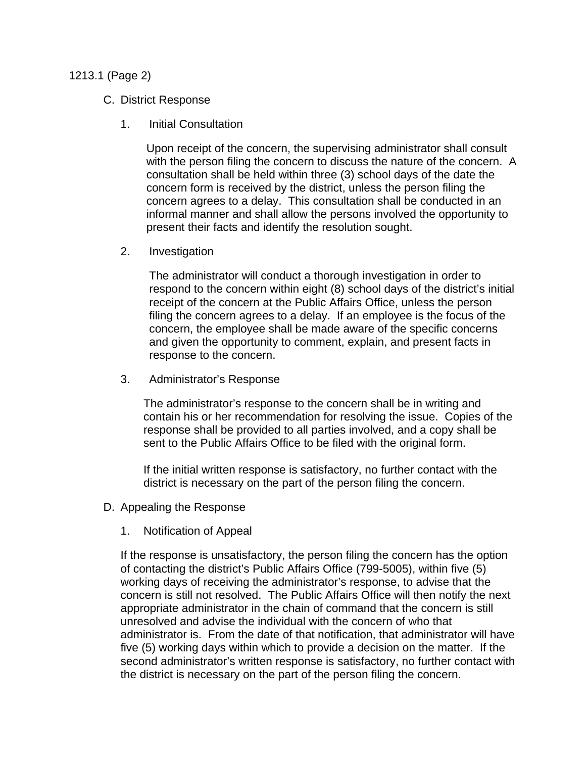#### 1213.1 (Page 2)

#### C. District Response

1. Initial Consultation

Upon receipt of the concern, the supervising administrator shall consult with the person filing the concern to discuss the nature of the concern. A consultation shall be held within three (3) school days of the date the concern form is received by the district, unless the person filing the concern agrees to a delay. This consultation shall be conducted in an informal manner and shall allow the persons involved the opportunity to present their facts and identify the resolution sought.

2. Investigation

The administrator will conduct a thorough investigation in order to respond to the concern within eight (8) school days of the district's initial receipt of the concern at the Public Affairs Office, unless the person filing the concern agrees to a delay. If an employee is the focus of the concern, the employee shall be made aware of the specific concerns and given the opportunity to comment, explain, and present facts in response to the concern.

3. Administrator's Response

The administrator's response to the concern shall be in writing and contain his or her recommendation for resolving the issue. Copies of the response shall be provided to all parties involved, and a copy shall be sent to the Public Affairs Office to be filed with the original form.

If the initial written response is satisfactory, no further contact with the district is necessary on the part of the person filing the concern.

- D. Appealing the Response
	- 1. Notification of Appeal

If the response is unsatisfactory, the person filing the concern has the option of contacting the district's Public Affairs Office (799-5005), within five (5) working days of receiving the administrator's response, to advise that the concern is still not resolved. The Public Affairs Office will then notify the next appropriate administrator in the chain of command that the concern is still unresolved and advise the individual with the concern of who that administrator is. From the date of that notification, that administrator will have five (5) working days within which to provide a decision on the matter. If the second administrator's written response is satisfactory, no further contact with the district is necessary on the part of the person filing the concern.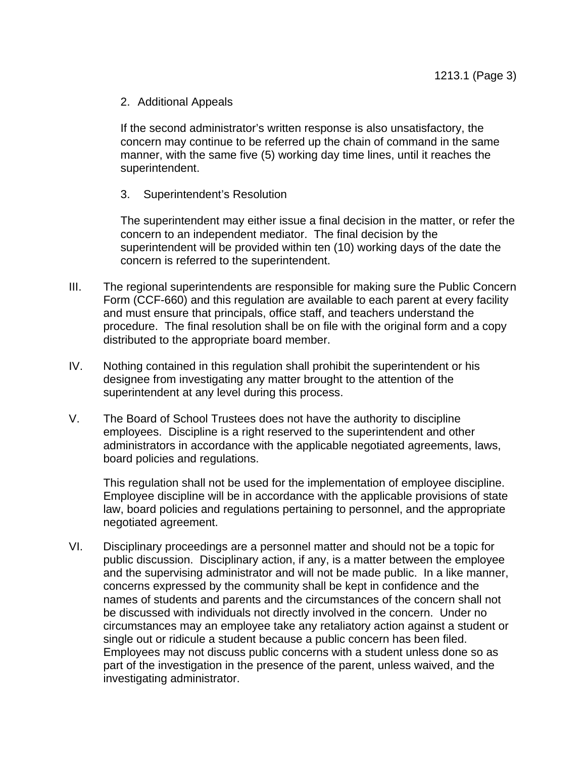#### 2. Additional Appeals

If the second administrator's written response is also unsatisfactory, the concern may continue to be referred up the chain of command in the same manner, with the same five (5) working day time lines, until it reaches the superintendent.

3. Superintendent's Resolution

The superintendent may either issue a final decision in the matter, or refer the concern to an independent mediator. The final decision by the superintendent will be provided within ten (10) working days of the date the concern is referred to the superintendent.

- III. The regional superintendents are responsible for making sure the Public Concern Form (CCF-660) and this regulation are available to each parent at every facility and must ensure that principals, office staff, and teachers understand the procedure. The final resolution shall be on file with the original form and a copy distributed to the appropriate board member.
- IV. Nothing contained in this regulation shall prohibit the superintendent or his designee from investigating any matter brought to the attention of the superintendent at any level during this process.
- V. The Board of School Trustees does not have the authority to discipline employees. Discipline is a right reserved to the superintendent and other administrators in accordance with the applicable negotiated agreements, laws, board policies and regulations.

This regulation shall not be used for the implementation of employee discipline. Employee discipline will be in accordance with the applicable provisions of state law, board policies and regulations pertaining to personnel, and the appropriate negotiated agreement.

VI. Disciplinary proceedings are a personnel matter and should not be a topic for public discussion. Disciplinary action, if any, is a matter between the employee and the supervising administrator and will not be made public. In a like manner, concerns expressed by the community shall be kept in confidence and the names of students and parents and the circumstances of the concern shall not be discussed with individuals not directly involved in the concern. Under no circumstances may an employee take any retaliatory action against a student or single out or ridicule a student because a public concern has been filed. Employees may not discuss public concerns with a student unless done so as part of the investigation in the presence of the parent, unless waived, and the investigating administrator.